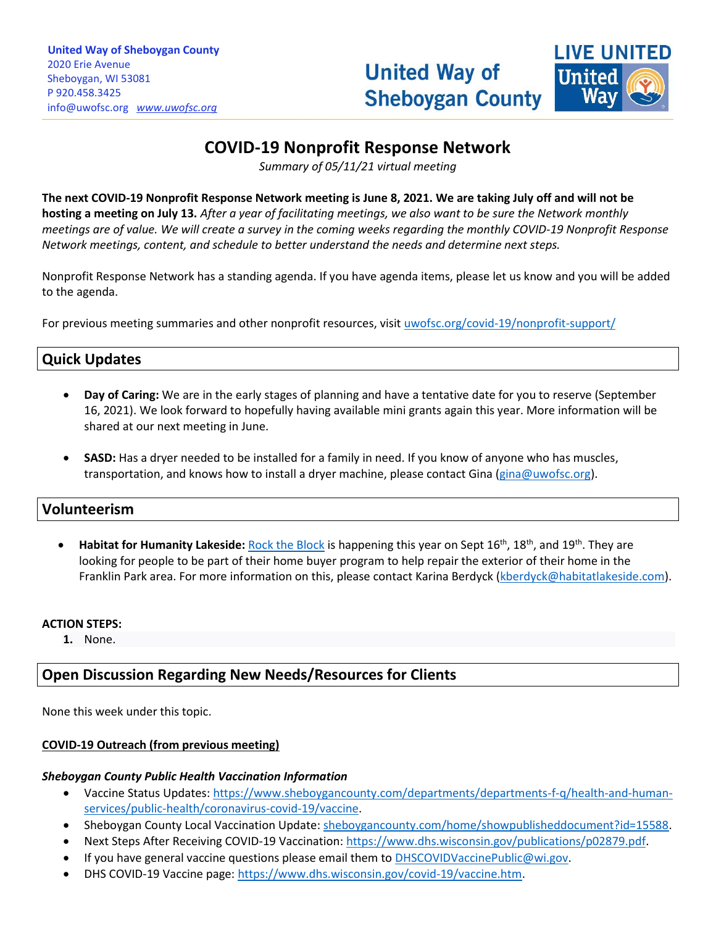

# **COVID-19 Nonprofit Response Network**

*Summary of 05/11/21 virtual meeting*

**The next COVID-19 Nonprofit Response Network meeting is June 8, 2021. We are taking July off and will not be hosting a meeting on July 13.** *After a year of facilitating meetings, we also want to be sure the Network monthly meetings are of value. We will create a survey in the coming weeks regarding the monthly COVID-19 Nonprofit Response Network meetings, content, and schedule to better understand the needs and determine next steps.* 

Nonprofit Response Network has a standing agenda. If you have agenda items, please let us know and you will be added to the agenda.

For previous meeting summaries and other nonprofit resources, visit [uwofsc.org/covid-19/nonprofit-support/](http://www.uwofsc.org/covid-19/nonprofit-support/)

## **Quick Updates**

- **Day of Caring:** We are in the early stages of planning and have a tentative date for you to reserve (September 16, 2021). We look forward to hopefully having available mini grants again this year. More information will be shared at our next meeting in June.
- **SASD:** Has a dryer needed to be installed for a family in need. If you know of anyone who has muscles, transportation, and knows how to install a dryer machine, please contact Gina [\(gina@uwofsc.org\)](mailto:gina@uwofsc.org).

### **Volunteerism**

• **Habitat for Humanity Lakeside:** [Rock the Block](2021%20RTB%20Flyer%20#2 (are you in need of a home repair - project recruitment).pdf) is happening this year on Sept 16th, 18th, and 19th. They are looking for people to be part of their home buyer program to help repair the exterior of their home in the Franklin Park area. For more information on this, please contact Karina Berdyck [\(kberdyck@habitatlakeside.com\)](mailto:kberdyck@habitatlakeside.com).

#### **ACTION STEPS:**

**1.** None.

## **Open Discussion Regarding New Needs/Resources for Clients**

None this week under this topic.

#### **COVID-19 Outreach (from previous meeting)**

#### *Sheboygan County Public Health Vaccination Information*

- Vaccine Status Updates: [https://www.sheboygancounty.com/departments/departments-f-q/health-and-human](https://www.sheboygancounty.com/departments/departments-f-q/health-and-human-services/public-health/coronavirus-covid-19/vaccine)[services/public-health/coronavirus-covid-19/vaccine.](https://www.sheboygancounty.com/departments/departments-f-q/health-and-human-services/public-health/coronavirus-covid-19/vaccine)
- Sheboygan County Local Vaccination Update[: sheboygancounty.com/home/showpublisheddocument?id=15588.](https://www.sheboygancounty.com/home/showpublisheddocument?id=15588)
- Next Steps After Receiving COVID-19 Vaccination: [https://www.dhs.wisconsin.gov/publications/p02879.pdf.](https://www.dhs.wisconsin.gov/publications/p02879.pdf)
- If you have general vaccine questions please email them to [DHSCOVIDVaccinePublic@wi.gov.](mailto:DHSCOVIDVaccinePublic@wi.gov)
- DHS COVID-19 Vaccine page: [https://www.dhs.wisconsin.gov/covid-19/vaccine.htm.](https://www.dhs.wisconsin.gov/covid-19/vaccine.htm)